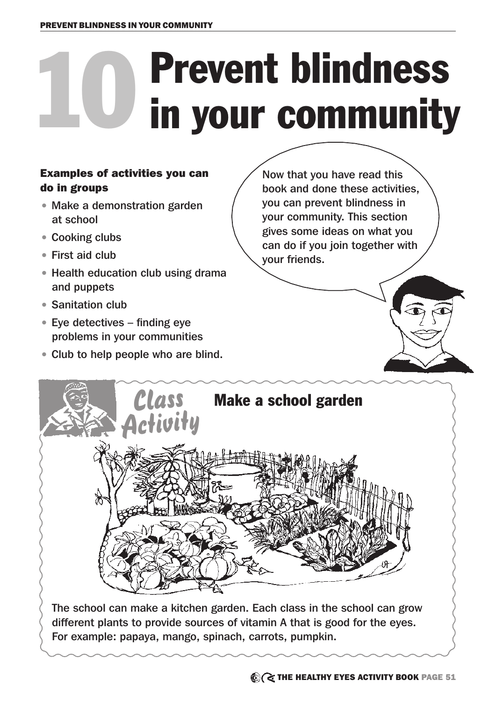## 10 Prevent blindness<br>in your community in your community

#### Examples of activities you can do in groups

- Make a demonstration garden at school
- Cooking clubs
- First aid club
- Health education club using drama and puppets
- Sanitation club
- Eye detectives finding eye problems in your communities
- Club to help people who are blind.

Now that you have read this book and done these activities, you can prevent blindness in your community. This section gives some ideas on what you can do if you join together with your friends.

# The school can make a kitchen garden. Each class in the school can grow Class Make a school garden<br>Activity

different plants to provide sources of vitamin A that is good for the eyes. For example: papaya, mango, spinach, carrots, pumpkin.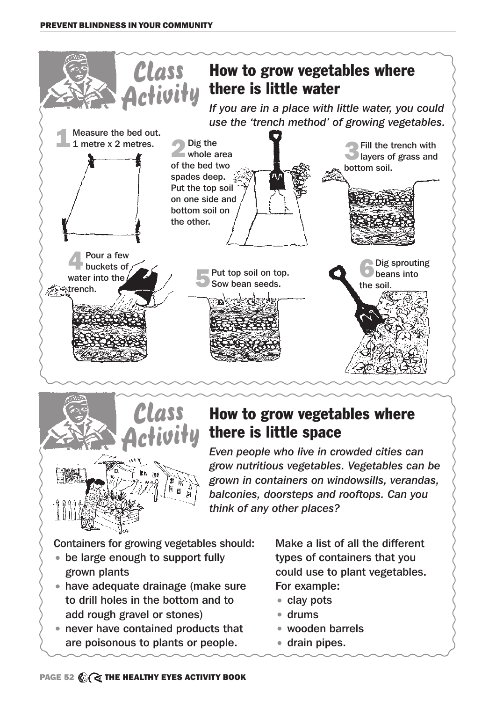



### How to grow vegetables where there is little space

*Even people who live in crowded cities can grow nutritious vegetables. Vegetables can be grown in containers on windowsills, verandas, balconies, doorsteps and rooftops. Can you think of any other places?* 

Containers for growing vegetables should:

- be large enough to support fully grown plants
- have adequate drainage (make sure to drill holes in the bottom and to add rough gravel or stones)
- never have contained products that are poisonous to plants or people.

Make a list of all the different types of containers that you could use to plant vegetables. For example:

- clay pots
- drums
- wooden barrels
- drain pipes.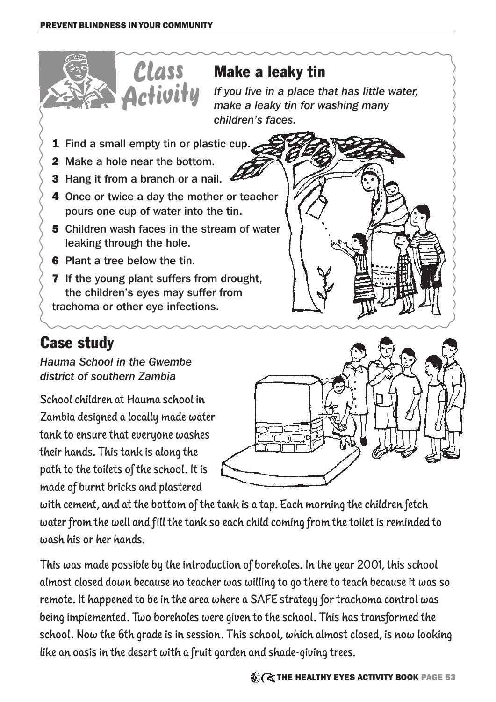

### Case study

*Hauma School in the Gwembe district of southern Zambia*

School children at Hauma school in Zambia designed a locally made water tank to ensure that everyone washes their hands. This tank is along the path to the toilets of the school. It is made of burnt bricks and plastered



with cement, and at the bottom of the tank is a tap. Each morning the children fetch water from the well and fill the tank so each child coming from the toilet is reminded to wash his or her hands.

This was made possible by the introduction of boreholes. In the year 2001, this school almost closed down because no teacher was willing to go there to teach because it was so remote. It happened to be in the area where a SAFE strategy for trachoma control was being implemented. Two boreholes were given to the school. This has transformed the school. Now the 6th grade is in session. This school, which almost closed, is now looking like an oasis in the desert with a fruit garden and shade-giving trees.